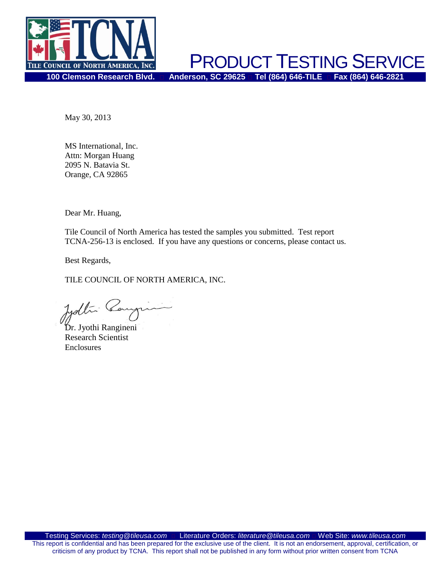

PRODUCT TESTING SERVICE **100 Clemson Research Blvd. Anderson, SC 29625 Tel (864) 646-TILE Fax (864) 646-2821**

May 30, 2013

MS International, Inc. Attn: Morgan Huang 2095 N. Batavia St. Orange, CA 92865

Dear Mr. Huang,

Tile Council of North America has tested the samples you submitted. Test report TCNA-256-13 is enclosed. If you have any questions or concerns, please contact us.

Best Regards,

TILE COUNCIL OF NORTH AMERICA, INC.

Dr. Jyothi Rangineni

Research Scientist Enclosures